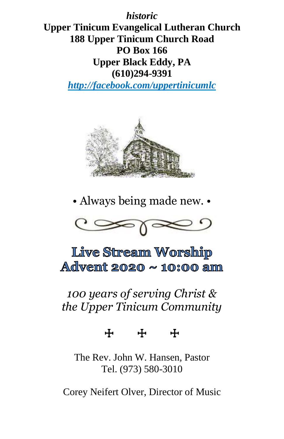*historic*

**Upper Tinicum Evangelical Lutheran Church 188 Upper Tinicum Church Road PO Box 166 Upper Black Eddy, PA (610)294-9391**

*http://facebook.com/uppertinicumlc*



• Always being made new. •



Live Stream Worship Advent 2020  $\sim$  10:00 am

*100 years of serving Christ & the Upper Tinicum Community*

☩ ☩ ☩

The Rev. John W. Hansen, Pastor Tel. (973) 580-3010

Corey Neifert Olver, Director of Music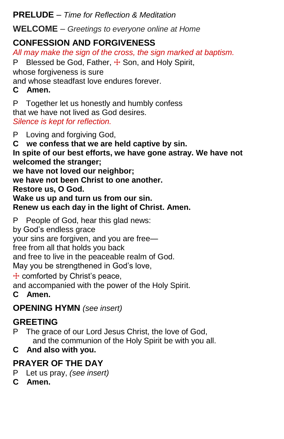**PRELUDE** – *Time for Reflection & Meditation*

**WELCOME** – *Greetings to everyone online at Home*

## **CONFESSION AND FORGIVENESS**

*All may make the sign of the cross, the sign marked at baptism.*

P Blessed be God, Father,  $\frac{1}{1}$  Son, and Holy Spirit,

whose forgiveness is sure

and whose steadfast love endures forever.

### **C Amen.**

P Together let us honestly and humbly confess that we have not lived as God desires. *Silence is kept for reflection.*

P Loving and forgiving God,

**C we confess that we are held captive by sin.**

**In spite of our best efforts, we have gone astray. We have not welcomed the stranger;**

**we have not loved our neighbor;**

**we have not been Christ to one another.**

**Restore us, O God.**

**Wake us up and turn us from our sin.**

#### **Renew us each day in the light of Christ. Amen.**

P People of God, hear this glad news:

by God's endless grace

your sins are forgiven, and you are free—

free from all that holds you back

and free to live in the peaceable realm of God.

May you be strengthened in God's love,

☩ comforted by Christ's peace,

and accompanied with the power of the Holy Spirit.

**C Amen.**

# **OPENING HYMN** *(see insert)*

# **GREETING**

P The grace of our Lord Jesus Christ, the love of God, and the communion of the Holy Spirit be with you all.

# **C And also with you.**

# **PRAYER OF THE DAY**

- P Let us pray, *(see insert)*
- **C Amen.**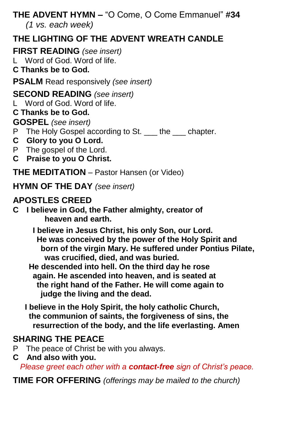#### **THE ADVENT HYMN –** "O Come, O Come Emmanuel" **#34**  *(1 vs. each week)*

# **THE LIGHTING OF THE ADVENT WREATH CANDLE**

**FIRST READING** *(see insert)*

L Word of God. Word of life.

**C Thanks be to God.**

**PSALM** Read responsively *(see insert)*

**SECOND READING** *(see insert)*

L Word of God. Word of life.

#### **C Thanks be to God.**

**GOSPEL** *(see insert)*

- P The Holy Gospel according to St. \_\_\_ the \_\_\_ chapter.
- **C Glory to you O Lord.**
- P The gospel of the Lord.
- **C Praise to you O Christ.**

**THE MEDITATION** – Pastor Hansen (or Video)

**HYMN OF THE DAY** *(see insert)*

## **APOSTLES CREED**

**C I believe in God, the Father almighty, creator of heaven and earth.**

> **I believe in Jesus Christ, his only Son, our Lord. He was conceived by the power of the Holy Spirit and born of the virgin Mary. He suffered under Pontius Pilate, was crucified, died, and was buried.**

 **He descended into hell. On the third day he rose again. He ascended into heaven, and is seated at the right hand of the Father. He will come again to judge the living and the dead.**

 **I believe in the Holy Spirit, the holy catholic Church, the communion of saints, the forgiveness of sins, the resurrection of the body, and the life everlasting. Amen**

### **SHARING THE PEACE**

- P The peace of Christ be with you always.
- **C And also with you.**  *Please greet each other with a contact-free sign of Christ's peace.*

**TIME FOR OFFERING** *(offerings may be mailed to the church)*